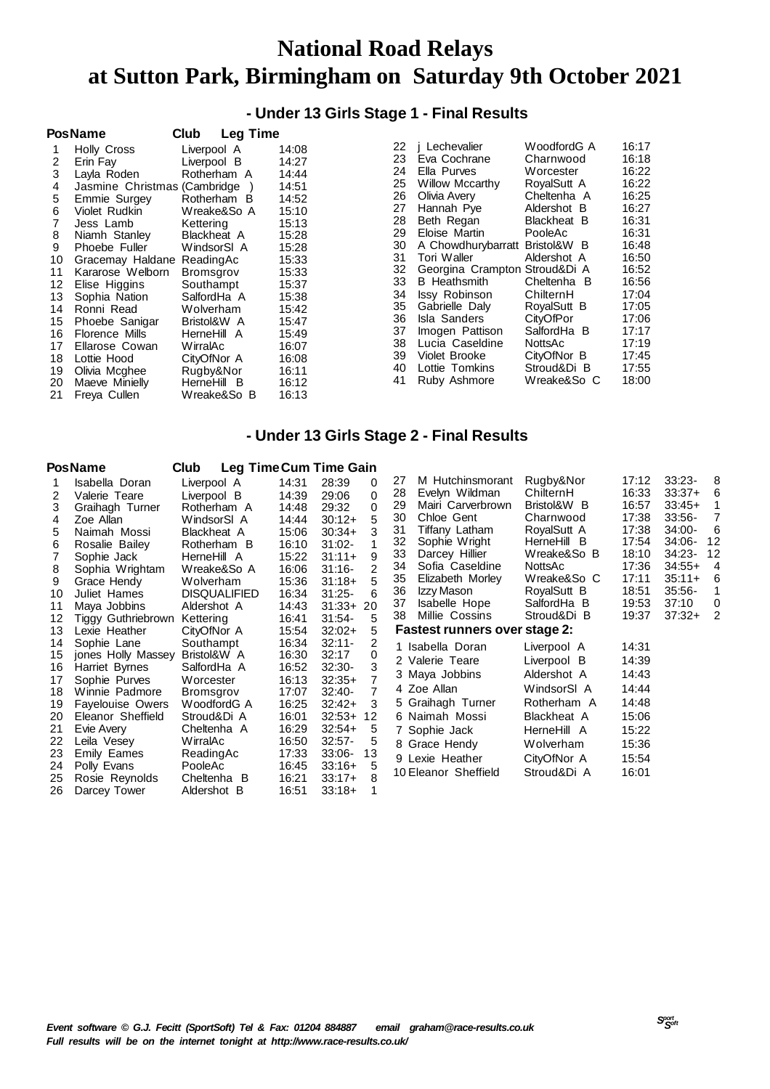## **National Road Relays at Sutton Park, Birmingham on Saturday 9th October 2021**

### **- Under 13 Girls Stage 1 - Final Results**

| <b>PosName</b> |                               | Club<br><b>Leg Time</b> |       |
|----------------|-------------------------------|-------------------------|-------|
| 1              | Holly Cross                   | Liverpool A             | 14:08 |
| 2              | Erin Fay                      | Liverpool B             | 14:27 |
| 3              | Layla Roden                   | Rotherham A             | 14:44 |
| 4              | Jasmine Christmas (Cambridge) |                         | 14:51 |
| 5              | Emmie Surgey                  | Rotherham B             | 14:52 |
| 6              | Violet Rudkin                 | Wreake&So A             | 15:10 |
| $\overline{7}$ | Jess Lamb                     | Kettering               | 15:13 |
| 8              | Niamh Stanley                 | Blackheat A             | 15:28 |
| 9              | Phoebe Fuller                 | WindsorSI A             | 15:28 |
| 10             | Gracemay Haldane              | ReadingAc               | 15:33 |
| 11             | Kararose Welborn              | Bromsgrov               | 15:33 |
| 12             | Elise Higgins                 | Southampt               | 15:37 |
| 13             | Sophia Nation                 | SalfordHa A             | 15:38 |
| 14             | Ronni Read                    | Wolverham               | 15:42 |
| 15             | Phoebe Sanigar                | Bristol&W A             | 15:47 |
| 16             | <b>Florence Mills</b>         | HerneHill A             | 15:49 |
| 17             | Ellarose Cowan                | WirralAc                | 16:07 |
| 18             | Lottie Hood                   | CityOfNor A             | 16:08 |
| 19             | Olivia Mcghee                 | Rugby&Nor               | 16:11 |
| 20             | Maeve Minielly                | <b>HerneHill</b><br>- B | 16:12 |
| 21             | Freya Cullen                  | Wreake&So B             | 16:13 |

| 22 | j Lechevalier          | WoodfordG A    | 16:17 |
|----|------------------------|----------------|-------|
| 23 | Eva Cochrane           | Charnwood      | 16:18 |
| 24 | Ella Purves            | Worcester      | 16:22 |
| 25 | <b>Willow Mccarthy</b> | RoyalSutt A    | 16:22 |
| 26 | Olivia Avery           | Cheltenha A    | 16:25 |
| 27 | Hannah Pye             | Aldershot B    | 16:27 |
| 28 | Beth Regan             | Blackheat B    | 16:31 |
| 29 | Eloise Martin          | PooleAc        | 16:31 |
| 30 | A Chowdhurybarratt     | Bristol&W B    | 16:48 |
| 31 | Tori Waller            | Aldershot A    | 16:50 |
| 32 | Georgina Crampton      | Stroud&Di A    | 16:52 |
| 33 | <b>B</b> Heathsmith    | Cheltenha<br>в | 16:56 |
| 34 | <b>Issy Robinson</b>   | ChilternH      | 17:04 |
| 35 | Gabrielle Daly         | RoyalSutt B    | 17:05 |
| 36 | <b>Isla Sanders</b>    | CityOfPor      | 17:06 |
| 37 | Imogen Pattison        | SalfordHa B    | 17:17 |
| 38 | Lucia Caseldine        | NottsAc        | 17:19 |
| 39 | Violet Brooke          | CityOfNor B    | 17:45 |
| 40 | Lottie Tomkins         | Stroud&Di B    | 17:55 |
| 41 | Ruby Ashmore           | Wreake&So C    | 18:00 |
|    |                        |                |       |

### **- Under 13 Girls Stage 2 - Final Results**

|    | <b>PosName</b>          | <b>Leg TimeCum Time Gain</b><br>Club |       |           |                |    |                                      |             |       |           |                |
|----|-------------------------|--------------------------------------|-------|-----------|----------------|----|--------------------------------------|-------------|-------|-----------|----------------|
|    | Isabella Doran          | Liverpool A                          | 14:31 | 28:39     | 0              | 27 | M Hutchinsmorant                     | Rugby&Nor   | 17:12 | $33:23-$  | 8              |
| 2  | Valerie Teare           | Liverpool B                          | 14:39 | 29:06     | 0              | 28 | Evelyn Wildman                       | ChilternH   | 16:33 | $33:37+$  | 6              |
| 3  | Graihagh Turner         | Rotherham A                          | 14:48 | 29:32     | $\Omega$       | 29 | Mairi Carverbrown                    | Bristol&W B | 16:57 | $33:45+$  | 1              |
| 4  | Zoe Allan               | WindsorSI A                          | 14:44 | $30:12+$  | 5              | 30 | Chloe Gent                           | Charnwood   | 17:38 | $33:56-$  | $\overline{7}$ |
| 5  | Naimah Mossi            | Blackheat A                          | 15:06 | $30:34+$  | 3              | 31 | Tiffany Latham                       | RoyalSutt A | 17:38 | $34:00 -$ | 6              |
| 6  | Rosalie Bailey          | Rotherham B                          | 16:10 | $31:02 -$ |                | 32 | Sophie Wright                        | HerneHill B | 17:54 | 34:06-    | 12             |
|    | Sophie Jack             | HerneHill A                          | 15:22 | $31:11+$  | 9              | 33 | Darcey Hillier                       | Wreake&So B | 18:10 | 34:23-    | 12             |
| 8  | Sophia Wrightam         | Wreake&So A                          | 16:06 | $31:16-$  | 2              | 34 | Sofia Caseldine                      | NottsAc     | 17:36 | $34:55+$  | $\overline{4}$ |
| 9  | Grace Hendy             | Wolverham                            | 15:36 | $31:18+$  | 5              | 35 | Elizabeth Morley                     | Wreake&So C | 17:11 | $35:11+$  | 6              |
| 10 | Juliet Hames            | <b>DISQUALIFIED</b>                  | 16:34 | $31:25 -$ |                | 36 | Izzy Mason                           | RoyalSutt B | 18:51 | $35:56-$  | 1              |
| 11 | Maya Jobbins            | Aldershot A                          | 14:43 | $31:33+$  | 20             | 37 | Isabelle Hope                        | SalfordHa B | 19:53 | 37:10     | 0              |
| 12 | Tiggy Guthriebrown      | Kettering                            | 16:41 | $31:54-$  | 5              | 38 | Millie Cossins                       | Stroud&Di B | 19:37 | $37:32+$  | $\overline{2}$ |
| 13 | Lexie Heather           | CityOfNor A                          | 15:54 | $32:02+$  | 5              |    | <b>Fastest runners over stage 2:</b> |             |       |           |                |
| 14 | Sophie Lane             | Southampt                            | 16:34 | $32:11-$  | 2              |    | 1 Isabella Doran                     | Liverpool A | 14:31 |           |                |
| 15 | jones Holly Massey      | Bristol&W A                          | 16:30 | 32:17     | 0              |    | 2 Valerie Teare                      | Liverpool B | 14:39 |           |                |
| 16 | Harriet Byrnes          | SalfordHa A                          | 16:52 | $32:30-$  | 3              |    | 3 Maya Jobbins                       | Aldershot A | 14:43 |           |                |
| 17 | Sophie Purves           | Worcester                            | 16:13 | $32:35+$  | 7              |    | 4 Zoe Allan                          | WindsorSI A | 14:44 |           |                |
| 18 | Winnie Padmore          | Bromsgrov                            | 17:07 | $32:40-$  | $\overline{7}$ |    |                                      |             |       |           |                |
| 19 | <b>Favelouise Owers</b> | WoodfordG A                          | 16:25 | $32:42+$  | 3              |    | 5 Graihagh Turner                    | Rotherham A | 14:48 |           |                |
| 20 | Eleanor Sheffield       | Stroud&Di A                          | 16:01 | $32:53+$  | 12             |    | 6 Naimah Mossi                       | Blackheat A | 15:06 |           |                |
| 21 | Evie Avery              | Cheltenha A                          | 16:29 | $32:54+$  | 5              |    | 7 Sophie Jack                        | HerneHill A | 15:22 |           |                |
| 22 | Leila Vesey             | WirralAc                             | 16:50 | $32:57-$  | 5              |    | 8 Grace Hendy                        | Wolverham   | 15:36 |           |                |
| 23 | Emily Eames             | ReadingAc                            | 17:33 | $33:06 -$ | 13             |    | 9 Lexie Heather                      | CityOfNor A | 15:54 |           |                |
| 24 | Polly Evans             | PooleAc                              | 16:45 | $33:16+$  | 5              |    | 10 Eleanor Sheffield                 | Stroud&Di A | 16:01 |           |                |
| 25 | Rosie Reynolds          | Cheltenha B                          | 16:21 | $33:17+$  | 8              |    |                                      |             |       |           |                |
| 26 | Darcey Tower            | Aldershot B                          | 16:51 | $33:18+$  |                |    |                                      |             |       |           |                |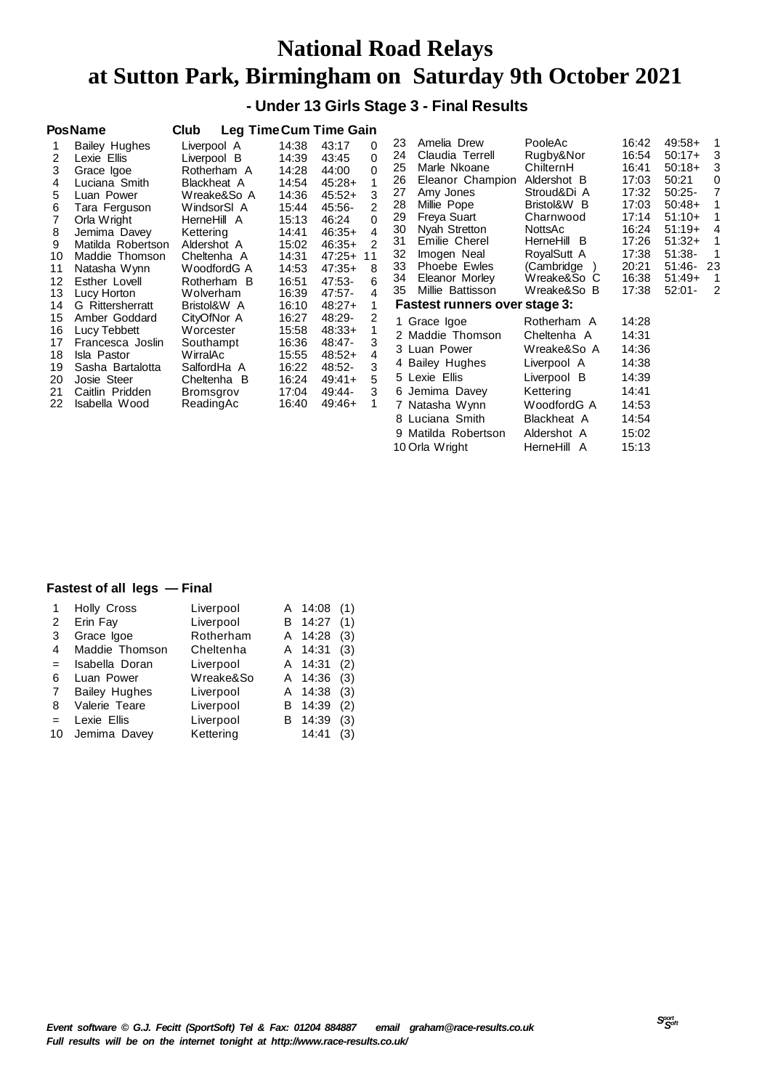## **National Road Relays at Sutton Park, Birmingham on Saturday 9th October 2021**

 **- Under 13 Girls Stage 3 - Final Results**

|                   | <b>PosName</b>          | Club        |             | <b>Leg Time Cum Time Gain</b> |             |              |  |
|-------------------|-------------------------|-------------|-------------|-------------------------------|-------------|--------------|--|
| 1                 | <b>Bailey Hughes</b>    | Liverpool A |             | 14:38                         | 43:17       | 0            |  |
| 2                 | Lexie Ellis             | Liverpool B |             | 14:39                         | 43:45       | 0            |  |
| 3                 | Grace Igoe              |             | Rotherham A | 14:28                         | 44:00       | 0            |  |
| 4                 | Luciana Smith           |             | Blackheat A | 14:54                         | $45:28+$    | 1            |  |
| 5                 | Luan Power              |             | Wreake&So A | 14:36                         | $45:52+$    | 3            |  |
| 6                 | Tara Ferguson           |             | WindsorSI A | 15:44                         | 45:56-      | 2            |  |
| $\overline{7}$    | Orla Wright             | HerneHill A |             | 15:13                         | 46:24       | 0            |  |
| 8                 | Jemima Davey            | Kettering   |             | 14:41                         | $46:35+$    | 4            |  |
| 9                 | Matilda Robertson       | Aldershot A |             | 15:02                         | $46:35+$    | 2            |  |
| 10                | Maddie Thomson          |             | Cheltenha A | 14:31                         | $47:25+ 11$ |              |  |
| 11                | Natasha Wynn            |             | WoodfordG A | 14:53                         | $47:35+$    | 8            |  |
| $12 \overline{ }$ | Esther Lovell           |             | Rotherham B | 16:51                         | 47:53-      | 6            |  |
| 13                | Lucy Horton             | Wolverham   |             | 16:39                         | 47:57-      | 4            |  |
| 14                | <b>G</b> Rittersherratt |             | Bristol&W A | 16:10                         | $48:27+$    | 1            |  |
| 15                | Amber Goddard           | CityOfNor A |             | 16:27                         | 48:29-      | 2            |  |
| 16                | Lucy Tebbett            | Worcester   |             | 15:58                         | $48:33+$    | $\mathbf{1}$ |  |
| 17                | Francesca Joslin        | Southampt   |             | 16:36                         | 48:47-      | 3            |  |
| 18                | Isla Pastor             | WirralAc    |             | 15:55                         | $48:52+$    | 4            |  |
| 19                | Sasha Bartalotta        |             | SalfordHa A | 16:22                         | 48:52-      | 3            |  |
| 20                | Josie Steer             |             | Cheltenha B | 16:24                         | $49:41+$    | 5            |  |
| 21                | Caitlin Pridden         | Bromsgrov   |             | 17:04                         | 49:44-      | 3            |  |
| 22                | Isabella Wood           | ReadingAc   |             | 16:40                         | $49:46+$    | 1            |  |
|                   |                         |             |             |                               |             |              |  |

| 23.<br>Amelia Drew<br>24<br>Claudia Terrell<br>25<br>Marle Nkoane<br>Eleanor Champion<br>26<br>27<br>Amy Jones<br>Millie Pope<br>28<br>Freya Suart<br>29<br>Nyah Stretton<br>30<br>Emilie Cherel<br>31<br>32<br>Imogen Neal<br>33<br>Phoebe Ewles<br>34<br>Eleanor Morley<br>35<br>Millie Battisson | PooleAc<br>Rugby&Nor<br>ChilternH<br>Aldershot B<br>Stroud&Di A<br>Bristol&W B<br>Charnwood<br>NottsAc<br>HerneHill B<br>RoyalSutt A<br>(Cambridge<br>$\lambda$<br>Wreake&So C<br>Wreake&So B | 16:42<br>16:54<br>16:41<br>17:03<br>17:32<br>17:03<br>17:14<br>16:24<br>17:26<br>17:38<br>20:21<br>16:38 | 49:58+<br>$50:17+$<br>$50:18+$<br>50:21<br>50:25-<br>$50:48+$<br>$51:10+$<br>$51:19+$<br>$51:32+$<br>$51:38-$<br>51:46-<br>$51:49+$<br>$52:01 -$ | 1<br>3<br>3<br>0<br>$\overline{7}$<br>1<br>1<br>4<br>$\mathbf{1}$<br>$\mathbf{1}$<br>23<br>1 |
|-----------------------------------------------------------------------------------------------------------------------------------------------------------------------------------------------------------------------------------------------------------------------------------------------------|-----------------------------------------------------------------------------------------------------------------------------------------------------------------------------------------------|----------------------------------------------------------------------------------------------------------|--------------------------------------------------------------------------------------------------------------------------------------------------|----------------------------------------------------------------------------------------------|
|                                                                                                                                                                                                                                                                                                     |                                                                                                                                                                                               | 17:38                                                                                                    |                                                                                                                                                  | 2                                                                                            |
| Fastest runners over stage 3:                                                                                                                                                                                                                                                                       |                                                                                                                                                                                               |                                                                                                          |                                                                                                                                                  |                                                                                              |
| 1 Grace Igoe                                                                                                                                                                                                                                                                                        | Rotherham A                                                                                                                                                                                   | 14:28                                                                                                    |                                                                                                                                                  |                                                                                              |
| 2 Maddie Thomson                                                                                                                                                                                                                                                                                    | Cheltenha A                                                                                                                                                                                   | 14:31                                                                                                    |                                                                                                                                                  |                                                                                              |
| 3 Luan Power                                                                                                                                                                                                                                                                                        | Wreake&So A                                                                                                                                                                                   | 14:36                                                                                                    |                                                                                                                                                  |                                                                                              |
| 4 Bailey Hughes                                                                                                                                                                                                                                                                                     | Liverpool A                                                                                                                                                                                   | 14:38                                                                                                    |                                                                                                                                                  |                                                                                              |
| 5 Lexie Ellis                                                                                                                                                                                                                                                                                       | Liverpool B                                                                                                                                                                                   | 14:39                                                                                                    |                                                                                                                                                  |                                                                                              |
| 6 Jemima Davey                                                                                                                                                                                                                                                                                      | Kettering                                                                                                                                                                                     | 14:41                                                                                                    |                                                                                                                                                  |                                                                                              |
| 7 Natasha Wynn                                                                                                                                                                                                                                                                                      | WoodfordG A                                                                                                                                                                                   | 14:53                                                                                                    |                                                                                                                                                  |                                                                                              |
| 8 Luciana Smith                                                                                                                                                                                                                                                                                     | Blackheat A                                                                                                                                                                                   | 14:54                                                                                                    |                                                                                                                                                  |                                                                                              |
| 9 Matilda Robertson                                                                                                                                                                                                                                                                                 | Aldershot A                                                                                                                                                                                   | 15:02                                                                                                    |                                                                                                                                                  |                                                                                              |
| 10 Orla Wright                                                                                                                                                                                                                                                                                      | HerneHill<br>A                                                                                                                                                                                | 15:13                                                                                                    |                                                                                                                                                  |                                                                                              |

#### **Fastest of all legs — Final**

|     | <b>Holly Cross</b>   | Liverpool | A | 14:08   | (1) |
|-----|----------------------|-----------|---|---------|-----|
| 2   | Erin Fay             | Liverpool | В | 14:27   | (1) |
| 3   | Grace Igoe           | Rotherham | A | 14:28   | (3) |
| 4   | Maddie Thomson       | Cheltenha | A | 14:31   | (3) |
| $=$ | Isabella Doran       | Liverpool |   | A 14:31 | (2) |
| 6   | Luan Power           | Wreake&So |   | A 14:36 | (3) |
| 7   | <b>Bailey Hughes</b> | Liverpool | A | 14:38   | (3) |
| 8   | Valerie Teare        | Liverpool | В | 14:39   | (2) |
|     | Lexie Ellis          | Liverpool | В | 14:39   | (3) |
| 10  | Jemima Davey         | Kettering |   | 14:41   | (3) |